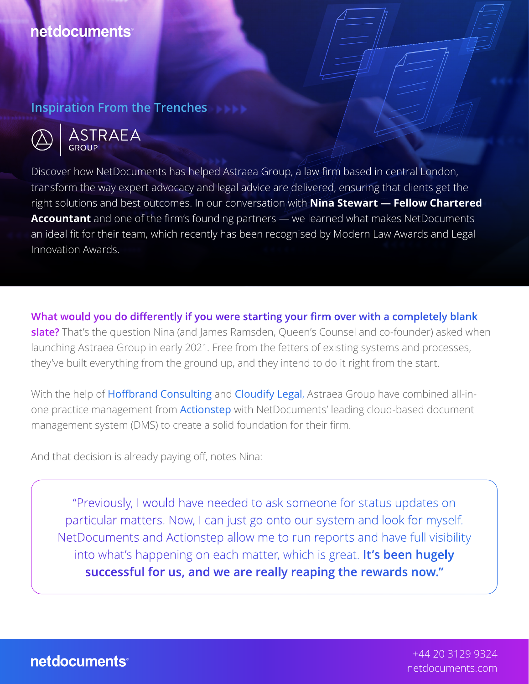# netdocuments

**Inspiration From the Trenches**



**STRAEA** 

Discover how NetDocuments has helped [Astraea Group](https://www.astraea-group.com/), a law firm based in central London, transform the way expert advocacy and legal advice are delivered, ensuring that clients get the right solutions and best outcomes. In our conversation with **Nina Stewart — Fellow Chartered Accountant** and one of the firm's founding partners — we learned what makes NetDocuments an ideal fit for their team, which recently has been recognised by Modern Law Awards and Legal Innovation Awards.

**What would you do differently if you were starting your firm over with a completely blank slate?** That's the question Nina (and James Ramsden, Queen's Counsel and co-founder) asked when launching Astraea Group in early 2021. Free from the fetters of existing systems and processes, they've built everything from the ground up, and they intend to do it right from the start.

With the help of [Hoffbrand Consulting](https://www.hoffbrand.consulting/) and [Cloudify Legal](https://cloudify.legal/), Astraea Group have combined all-inone practice management from [Actionstep](https://www.actionstep.com/) with NetDocuments' leading cloud-based document management system (DMS) to create a solid foundation for their firm.

And that decision is already paying off, notes Nina:

"Previously, I would have needed to ask someone for status updates on particular matters. Now, I can just go onto our system and look for myself. NetDocuments and Actionstep allow me to run reports and have full visibility into what's happening on each matter, which is great. **It's been hugely successful for us, and we are really reaping the rewards now."**

netdocuments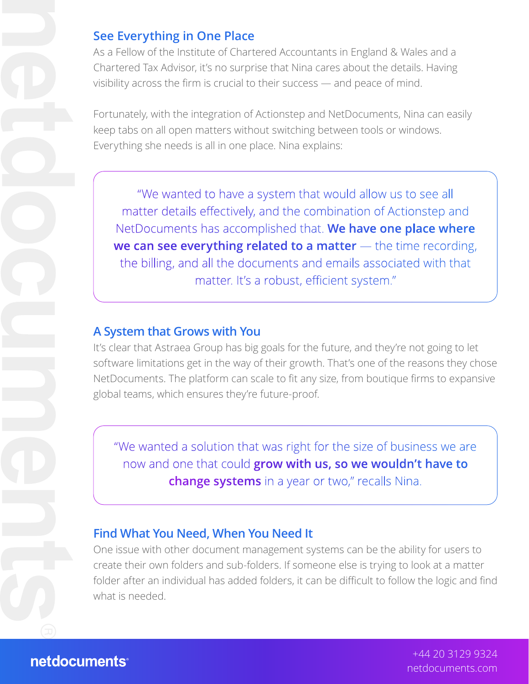## **See Everything in One Place**

As a Fellow of the Institute of Chartered Accountants in England & Wales and a Chartered Tax Advisor, it's no surprise that Nina cares about the details. Having visibility across the firm is crucial to their success — and peace of mind.

Fortunately, with the integration of Actionstep and NetDocuments, Nina can easily keep tabs on all open matters without switching between tools or windows. Everything she needs is all in one place. Nina explains:

"We wanted to have a system that would allow us to see all matter details effectively, and the combination of Actionstep and NetDocuments has accomplished that. **We have one place where we can see everything related to a matter** — the time recording, the billing, and all the documents and emails associated with that matter. It's a robust, efficient system."

### **A System that Grows with You**

It's clear that Astraea Group has big goals for the future, and they're not going to let software limitations get in the way of their growth. That's one of the reasons they chose NetDocuments. The platform can scale to fit any size, from boutique firms to expansive global teams, which ensures they're future-proof.

"We wanted a solution that was right for the size of business we are now and one that could **grow with us, so we wouldn't have to change systems** in a year or two," recalls Nina.

#### **Find What You Need, When You Need It**

One issue with other document management systems can be the ability for users to create their own folders and sub-folders. If someone else is trying to look at a matter folder after an individual has added folders, it can be difficult to follow the logic and find what is needed.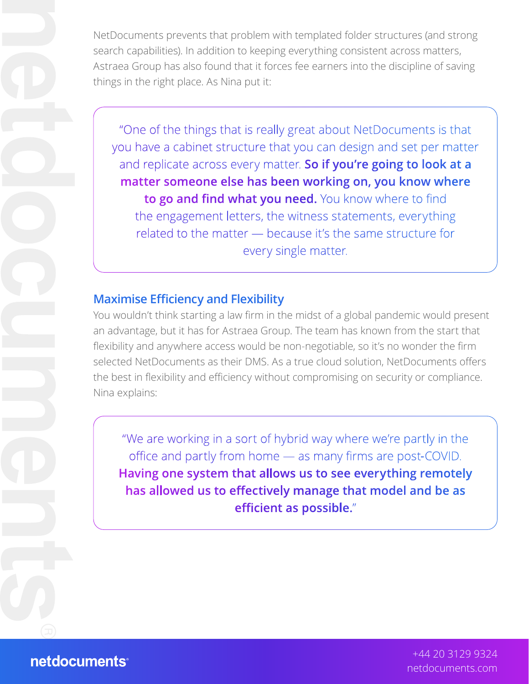NetDocuments prevents that problem with templated folder structures (and strong search capabilities). In addition to keeping everything consistent across matters, Astraea Group has also found that it forces fee earners into the discipline of saving things in the right place. As Nina put it:

"One of the things that is really great about NetDocuments is that you have a cabinet structure that you can design and set per matter and replicate across every matter. **So if you're going to look at a matter someone else has been working on, you know where to go and find what you need.** You know where to find the engagement letters, the witness statements, everything related to the matter — because it's the same structure for every single matter.

# **Maximise Efficiency and Flexibility**

You wouldn't think starting a law firm in the midst of a global pandemic would present an advantage, but it has for Astraea Group. The team has known from the start that flexibility and anywhere access would be non-negotiable, so it's no wonder the firm selected NetDocuments as their DMS. As a true cloud solution, NetDocuments offers the best in flexibility and efficiency without compromising on security or compliance. Nina explains:

"We are working in a sort of hybrid way where we're partly in the office and partly from home — as many firms are post-COVID. **Having one system that allows us to see everything remotely has allowed us to effectively manage that model and be as efficient as possible.**"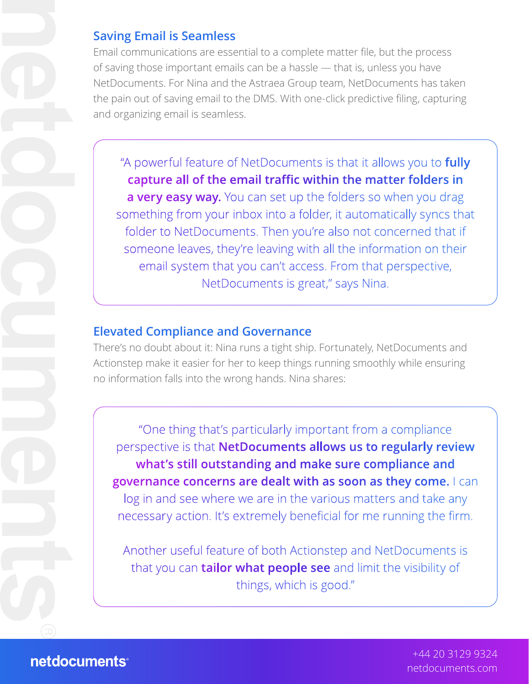# **Saving Email is Seamless**

Email communications are essential to a complete matter file, but the process of saving those important emails can be a hassle — that is, unless you have NetDocuments. For Nina and the Astraea Group team, NetDocuments has taken the pain out of saving email to the DMS. With one-click predictive filing, capturing and organizing email is seamless.

"A powerful feature of NetDocuments is that it allows you to **fully capture all of the email traffic within the matter folders in a very easy way.** You can set up the folders so when you drag something from your inbox into a folder, it automatically syncs that folder to NetDocuments. Then you're also not concerned that if someone leaves, they're leaving with all the information on their email system that you can't access. From that perspective, NetDocuments is great," says Nina.

## **Elevated Compliance and Governance**

There's no doubt about it: Nina runs a tight ship. Fortunately, NetDocuments and Actionstep make it easier for her to keep things running smoothly while ensuring no information falls into the wrong hands. Nina shares:

"One thing that's particularly important from a compliance perspective is that **NetDocuments allows us to regularly review what's still outstanding and make sure compliance and governance concerns are dealt with as soon as they come.** I can log in and see where we are in the various matters and take any necessary action. It's extremely beneficial for me running the firm.

Another useful feature of both Actionstep and NetDocuments is that you can **tailor what people see** and limit the visibility of things, which is good."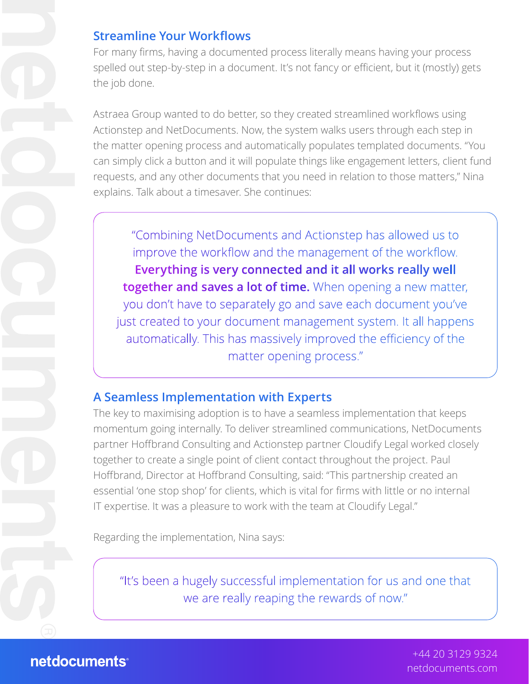#### **Streamline Your Workflows**

For many firms, having a documented process literally means having your process spelled out step-by-step in a document. It's not fancy or efficient, but it (mostly) gets the job done.

Astraea Group wanted to do better, so they created streamlined workflows using Actionstep and NetDocuments. Now, the system walks users through each step in the matter opening process and automatically populates templated documents. "You can simply click a button and it will populate things like engagement letters, client fund requests, and any other documents that you need in relation to those matters," Nina explains. Talk about a timesaver. She continues:

"Combining NetDocuments and Actionstep has allowed us to improve the workflow and the management of the workflow. **Everything is very connected and it all works really well together and saves a lot of time.** When opening a new matter, you don't have to separately go and save each document you've just created to your document management system. It all happens automatically. This has massively improved the efficiency of the matter opening process."

### **A Seamless Implementation with Experts**

The key to maximising adoption is to have a seamless implementation that keeps momentum going internally. To deliver streamlined communications, NetDocuments partner Hoffbrand Consulting and Actionstep partner Cloudify Legal worked closely together to create a single point of client contact throughout the project. Paul Hoffbrand, Director at Hoffbrand Consulting, said: "This partnership created an essential 'one stop shop' for clients, which is vital for firms with little or no internal IT expertise. It was a pleasure to work with the team at Cloudify Legal."

Regarding the implementation, Nina says:

"It's been a hugely successful implementation for us and one that we are really reaping the rewards of now."

# netdocuments